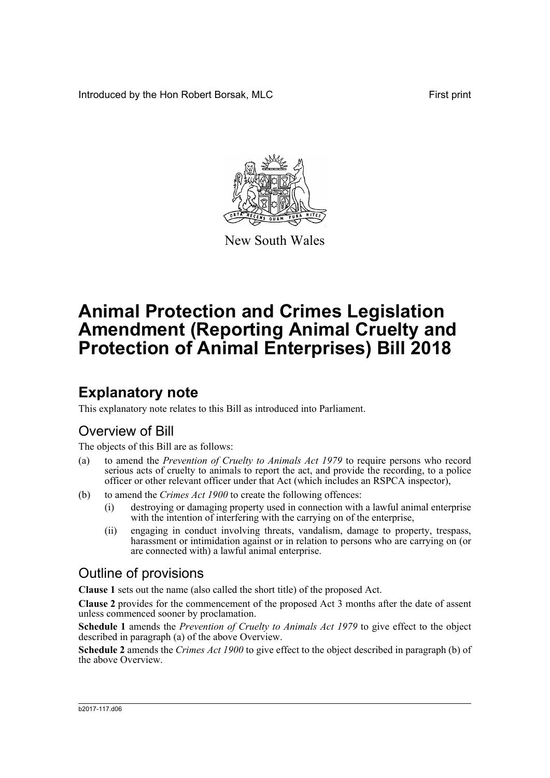Introduced by the Hon Robert Borsak, MLC **First print** First print



New South Wales

# **Animal Protection and Crimes Legislation Amendment (Reporting Animal Cruelty and Protection of Animal Enterprises) Bill 2018**

## **Explanatory note**

This explanatory note relates to this Bill as introduced into Parliament.

## Overview of Bill

The objects of this Bill are as follows:

- (a) to amend the *Prevention of Cruelty to Animals Act 1979* to require persons who record serious acts of cruelty to animals to report the act, and provide the recording, to a police officer or other relevant officer under that Act (which includes an RSPCA inspector),
- (b) to amend the *Crimes Act 1900* to create the following offences:
	- (i) destroying or damaging property used in connection with a lawful animal enterprise with the intention of interfering with the carrying on of the enterprise,
	- (ii) engaging in conduct involving threats, vandalism, damage to property, trespass, harassment or intimidation against or in relation to persons who are carrying on (or are connected with) a lawful animal enterprise.

## Outline of provisions

**Clause 1** sets out the name (also called the short title) of the proposed Act.

**Clause 2** provides for the commencement of the proposed Act 3 months after the date of assent unless commenced sooner by proclamation.

**Schedule 1** amends the *Prevention of Cruelty to Animals Act 1979* to give effect to the object described in paragraph (a) of the above Overview.

**Schedule 2** amends the *Crimes Act 1900* to give effect to the object described in paragraph (b) of the above Overview.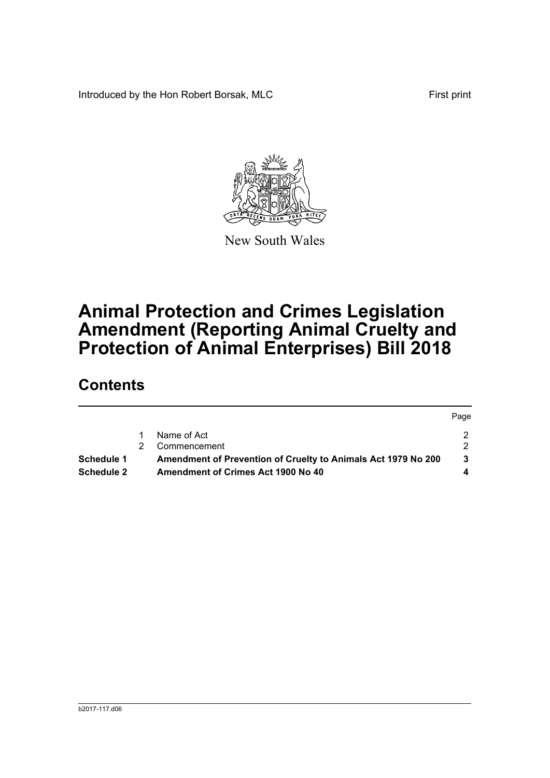Introduced by the Hon Robert Borsak, MLC First print

 $P^2$ 



New South Wales

# **Animal Protection and Crimes Legislation Amendment (Reporting Animal Cruelty and Protection of Animal Enterprises) Bill 2018**

## **Contents**

|                   |    |                                                               | <b>Page</b> |
|-------------------|----|---------------------------------------------------------------|-------------|
|                   |    | Name of Act                                                   |             |
|                   | 2. | Commencement                                                  |             |
| Schedule 1        |    | Amendment of Prevention of Cruelty to Animals Act 1979 No 200 |             |
| <b>Schedule 2</b> |    | Amendment of Crimes Act 1900 No 40                            |             |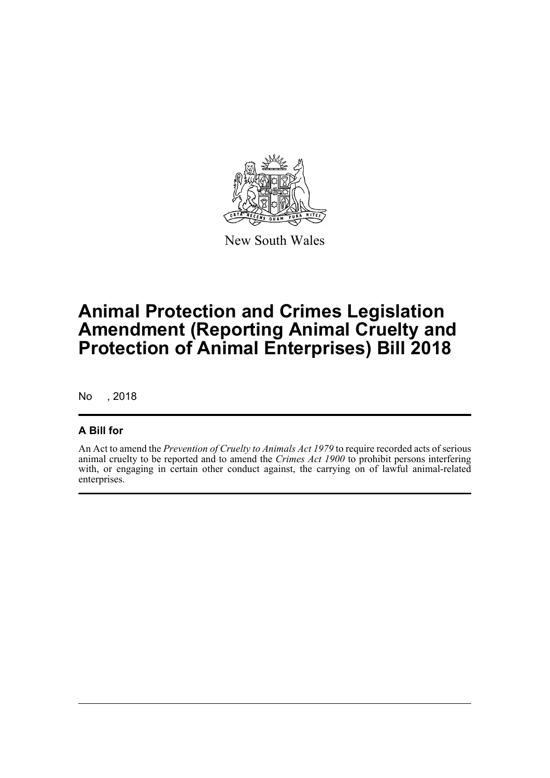

New South Wales

## **Animal Protection and Crimes Legislation Amendment (Reporting Animal Cruelty and Protection of Animal Enterprises) Bill 2018**

No , 2018

### **A Bill for**

An Act to amend the *Prevention of Cruelty to Animals Act 1979* to require recorded acts of serious animal cruelty to be reported and to amend the *Crimes Act 1900* to prohibit persons interfering with, or engaging in certain other conduct against, the carrying on of lawful animal-related enterprises.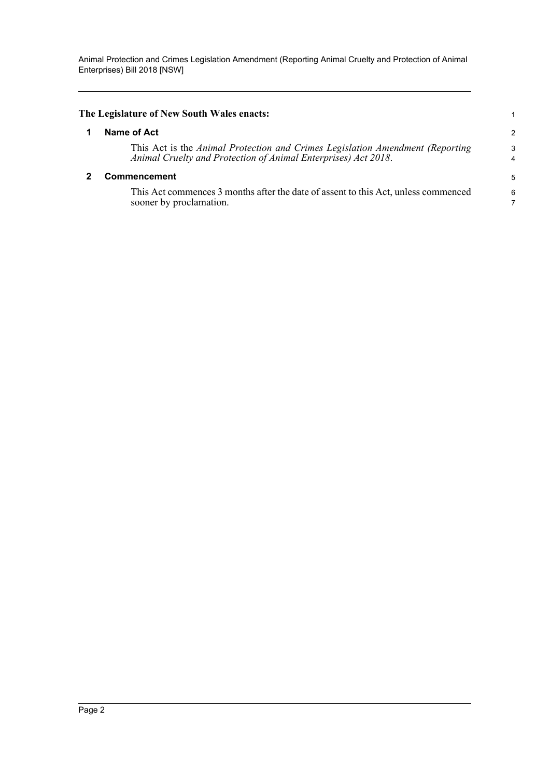<span id="page-3-1"></span><span id="page-3-0"></span>

| The Legislature of New South Wales enacts: |                                                                                                                                                 |        |
|--------------------------------------------|-------------------------------------------------------------------------------------------------------------------------------------------------|--------|
|                                            | Name of Act                                                                                                                                     | 2      |
|                                            | This Act is the Animal Protection and Crimes Legislation Amendment (Reporting<br>Animal Cruelty and Protection of Animal Enterprises) Act 2018. | 3<br>4 |
|                                            | <b>Commencement</b>                                                                                                                             | 5      |
|                                            | This Act commences 3 months after the date of assent to this Act, unless commenced<br>sooner by proclamation.                                   | 6      |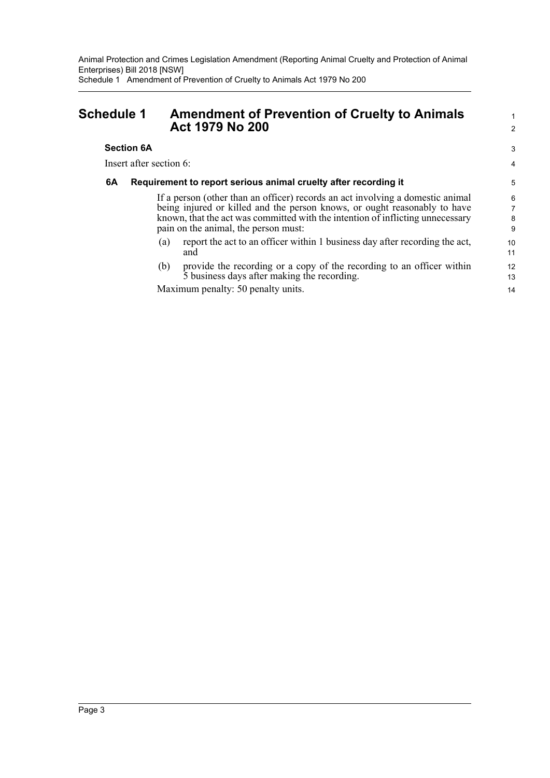Animal Protection and Crimes Legislation Amendment (Reporting Animal Cruelty and Protection of Animal Enterprises) Bill 2018 [NSW] Schedule 1 Amendment of Prevention of Cruelty to Animals Act 1979 No 200

### <span id="page-4-0"></span>**Schedule 1 Amendment of Prevention of Cruelty to Animals Act 1979 No 200**

#### **Section 6A**

Insert after section 6:

#### **6A Requirement to report serious animal cruelty after recording it**

If a person (other than an officer) records an act involving a domestic animal being injured or killed and the person knows, or ought reasonably to have known, that the act was committed with the intention of inflicting unnecessary pain on the animal, the person must:

1  $\overline{2}$ 

3 4

- (a) report the act to an officer within 1 business day after recording the act, and
- (b) provide the recording or a copy of the recording to an officer within 5 business days after making the recording.

Maximum penalty: 50 penalty units.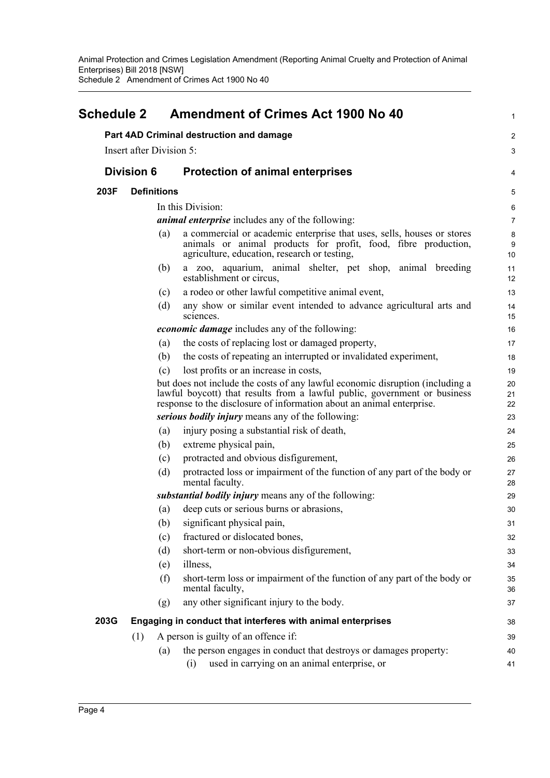<span id="page-5-0"></span>

| <b>Schedule 2</b> | <b>Amendment of Crimes Act 1900 No 40</b>                                                                                                                                                |                                                                                                                                                                                                                                                                                                                                                                                                                                                                                                                                                                                                                                                                                                                                          |
|-------------------|------------------------------------------------------------------------------------------------------------------------------------------------------------------------------------------|------------------------------------------------------------------------------------------------------------------------------------------------------------------------------------------------------------------------------------------------------------------------------------------------------------------------------------------------------------------------------------------------------------------------------------------------------------------------------------------------------------------------------------------------------------------------------------------------------------------------------------------------------------------------------------------------------------------------------------------|
|                   |                                                                                                                                                                                          | 2                                                                                                                                                                                                                                                                                                                                                                                                                                                                                                                                                                                                                                                                                                                                        |
|                   |                                                                                                                                                                                          | 3                                                                                                                                                                                                                                                                                                                                                                                                                                                                                                                                                                                                                                                                                                                                        |
| <b>Division 6</b> | <b>Protection of animal enterprises</b>                                                                                                                                                  | 4                                                                                                                                                                                                                                                                                                                                                                                                                                                                                                                                                                                                                                                                                                                                        |
|                   |                                                                                                                                                                                          | 5                                                                                                                                                                                                                                                                                                                                                                                                                                                                                                                                                                                                                                                                                                                                        |
|                   |                                                                                                                                                                                          | 6                                                                                                                                                                                                                                                                                                                                                                                                                                                                                                                                                                                                                                                                                                                                        |
|                   |                                                                                                                                                                                          | 7                                                                                                                                                                                                                                                                                                                                                                                                                                                                                                                                                                                                                                                                                                                                        |
| (a)               | a commercial or academic enterprise that uses, sells, houses or stores<br>animals or animal products for profit, food, fibre production,<br>agriculture, education, research or testing, | 8<br>9<br>10                                                                                                                                                                                                                                                                                                                                                                                                                                                                                                                                                                                                                                                                                                                             |
| (b)               | a zoo, aquarium, animal shelter, pet shop, animal breeding<br>establishment or circus,                                                                                                   | 11<br>12                                                                                                                                                                                                                                                                                                                                                                                                                                                                                                                                                                                                                                                                                                                                 |
| (c)               | a rodeo or other lawful competitive animal event,                                                                                                                                        | 13                                                                                                                                                                                                                                                                                                                                                                                                                                                                                                                                                                                                                                                                                                                                       |
| (d)               | any show or similar event intended to advance agricultural arts and<br>sciences.                                                                                                         | 14<br>15                                                                                                                                                                                                                                                                                                                                                                                                                                                                                                                                                                                                                                                                                                                                 |
|                   |                                                                                                                                                                                          | 16                                                                                                                                                                                                                                                                                                                                                                                                                                                                                                                                                                                                                                                                                                                                       |
| (a)               | the costs of replacing lost or damaged property,                                                                                                                                         | 17                                                                                                                                                                                                                                                                                                                                                                                                                                                                                                                                                                                                                                                                                                                                       |
| (b)               | the costs of repeating an interrupted or invalidated experiment,                                                                                                                         | 18                                                                                                                                                                                                                                                                                                                                                                                                                                                                                                                                                                                                                                                                                                                                       |
| (c)               | lost profits or an increase in costs,                                                                                                                                                    | 19                                                                                                                                                                                                                                                                                                                                                                                                                                                                                                                                                                                                                                                                                                                                       |
|                   |                                                                                                                                                                                          | 20<br>21<br>22                                                                                                                                                                                                                                                                                                                                                                                                                                                                                                                                                                                                                                                                                                                           |
|                   |                                                                                                                                                                                          | 23                                                                                                                                                                                                                                                                                                                                                                                                                                                                                                                                                                                                                                                                                                                                       |
| (a)               | injury posing a substantial risk of death,                                                                                                                                               | 24                                                                                                                                                                                                                                                                                                                                                                                                                                                                                                                                                                                                                                                                                                                                       |
| (b)               | extreme physical pain,                                                                                                                                                                   | 25                                                                                                                                                                                                                                                                                                                                                                                                                                                                                                                                                                                                                                                                                                                                       |
| (c)               | protracted and obvious disfigurement,                                                                                                                                                    | 26                                                                                                                                                                                                                                                                                                                                                                                                                                                                                                                                                                                                                                                                                                                                       |
| (d)               | protracted loss or impairment of the function of any part of the body or<br>mental faculty.                                                                                              | 27<br>28                                                                                                                                                                                                                                                                                                                                                                                                                                                                                                                                                                                                                                                                                                                                 |
|                   |                                                                                                                                                                                          | 29                                                                                                                                                                                                                                                                                                                                                                                                                                                                                                                                                                                                                                                                                                                                       |
| (a)               | deep cuts or serious burns or abrasions,                                                                                                                                                 | 30                                                                                                                                                                                                                                                                                                                                                                                                                                                                                                                                                                                                                                                                                                                                       |
|                   |                                                                                                                                                                                          | 31                                                                                                                                                                                                                                                                                                                                                                                                                                                                                                                                                                                                                                                                                                                                       |
| (c)               | fractured or dislocated bones,                                                                                                                                                           | 32                                                                                                                                                                                                                                                                                                                                                                                                                                                                                                                                                                                                                                                                                                                                       |
| (d)               | short-term or non-obvious disfigurement,                                                                                                                                                 | 33                                                                                                                                                                                                                                                                                                                                                                                                                                                                                                                                                                                                                                                                                                                                       |
| (e)               | illness,                                                                                                                                                                                 | 34                                                                                                                                                                                                                                                                                                                                                                                                                                                                                                                                                                                                                                                                                                                                       |
| (f)               | short-term loss or impairment of the function of any part of the body or<br>mental faculty,                                                                                              | 35<br>36                                                                                                                                                                                                                                                                                                                                                                                                                                                                                                                                                                                                                                                                                                                                 |
| (g)               | any other significant injury to the body.                                                                                                                                                | 37                                                                                                                                                                                                                                                                                                                                                                                                                                                                                                                                                                                                                                                                                                                                       |
|                   |                                                                                                                                                                                          | 38                                                                                                                                                                                                                                                                                                                                                                                                                                                                                                                                                                                                                                                                                                                                       |
| (1)               |                                                                                                                                                                                          | 39                                                                                                                                                                                                                                                                                                                                                                                                                                                                                                                                                                                                                                                                                                                                       |
| (a)               | the person engages in conduct that destroys or damages property:<br>used in carrying on an animal enterprise, or<br>(i)                                                                  | 40<br>41                                                                                                                                                                                                                                                                                                                                                                                                                                                                                                                                                                                                                                                                                                                                 |
|                   |                                                                                                                                                                                          | Part 4AD Criminal destruction and damage<br><b>Insert after Division 5:</b><br><b>Definitions</b><br>In this Division:<br><i>animal enterprise</i> includes any of the following:<br><i>economic damage</i> includes any of the following:<br>but does not include the costs of any lawful economic disruption (including a<br>lawful boycott) that results from a lawful public, government or business<br>response to the disclosure of information about an animal enterprise.<br>serious bodily injury means any of the following:<br>substantial bodily injury means any of the following:<br>(b) significant physical pain,<br>Engaging in conduct that interferes with animal enterprises<br>A person is guilty of an offence if: |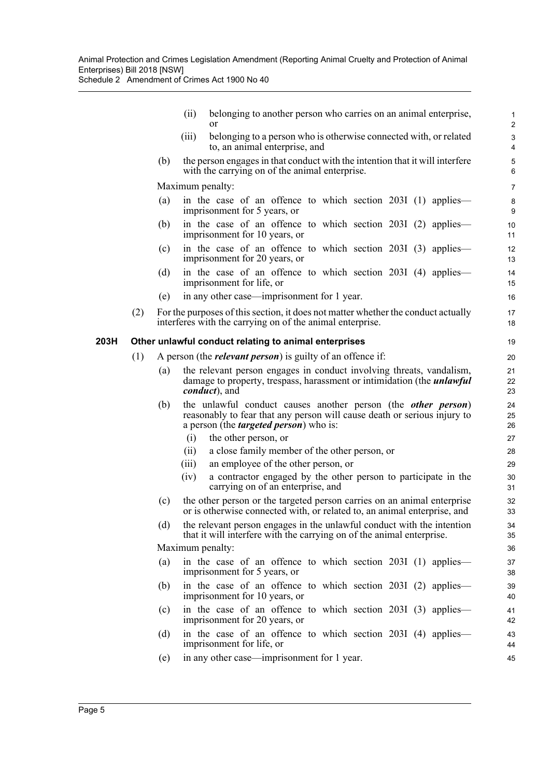Schedule 2 Amendment of Crimes Act 1900 No 40

|      |     |     | belonging to another person who carries on an animal enterprise,<br>(ii)<br>or                                                                                                                                                     | 1<br>2                                      |
|------|-----|-----|------------------------------------------------------------------------------------------------------------------------------------------------------------------------------------------------------------------------------------|---------------------------------------------|
|      |     |     | belonging to a person who is otherwise connected with, or related<br>(111)<br>to, an animal enterprise, and                                                                                                                        | $\ensuremath{\mathsf{3}}$<br>$\overline{4}$ |
|      |     | (b) | the person engages in that conduct with the intention that it will interfere<br>with the carrying on of the animal enterprise.                                                                                                     | $\mathbf 5$<br>6                            |
|      |     |     | Maximum penalty:                                                                                                                                                                                                                   | $\overline{7}$                              |
|      |     | (a) | in the case of an offence to which section 2031 (1) applies—<br>imprisonment for 5 years, or                                                                                                                                       | $\bf 8$<br>9                                |
|      |     | (b) | in the case of an offence to which section 2031 (2) applies—<br>imprisonment for 10 years, or                                                                                                                                      | 10<br>11                                    |
|      |     | (c) | in the case of an offence to which section 2031 (3) applies—<br>imprisonment for 20 years, or                                                                                                                                      | 12<br>13                                    |
|      |     | (d) | in the case of an offence to which section 203I (4) applies-<br>imprisonment for life, or                                                                                                                                          | 14<br>15                                    |
|      |     | (e) | in any other case—imprisonment for 1 year.                                                                                                                                                                                         | 16                                          |
|      | (2) |     | For the purposes of this section, it does not matter whether the conduct actually                                                                                                                                                  | 17                                          |
|      |     |     | interferes with the carrying on of the animal enterprise.                                                                                                                                                                          | 18                                          |
| 203H |     |     | Other unlawful conduct relating to animal enterprises                                                                                                                                                                              | 19                                          |
|      | (1) |     | A person (the <i>relevant person</i> ) is guilty of an offence if:                                                                                                                                                                 | 20                                          |
|      |     | (a) | the relevant person engages in conduct involving threats, vandalism,<br>damage to property, trespass, harassment or intimidation (the <i>unlawful</i><br><i>conduct</i> ), and                                                     | 21<br>22<br>23                              |
|      |     | (b) | the unlawful conduct causes another person (the <i>other person</i> )<br>reasonably to fear that any person will cause death or serious injury to<br>a person (the <i>targeted person</i> ) who is:<br>the other person, or<br>(i) | 24<br>25<br>26<br>27                        |
|      |     |     | a close family member of the other person, or<br>(ii)                                                                                                                                                                              | 28                                          |
|      |     |     | an employee of the other person, or<br>(iii)                                                                                                                                                                                       | 29                                          |
|      |     |     | a contractor engaged by the other person to participate in the<br>(iv)<br>carrying on of an enterprise, and                                                                                                                        | 30<br>31                                    |
|      |     | (c) | the other person or the targeted person carries on an animal enterprise<br>or is otherwise connected with, or related to, an animal enterprise, and                                                                                | 32<br>33                                    |
|      |     | (d) | the relevant person engages in the unlawful conduct with the intention<br>that it will interfere with the carrying on of the animal enterprise.                                                                                    | 34<br>35                                    |
|      |     |     | Maximum penalty:                                                                                                                                                                                                                   | 36                                          |
|      |     | (a) | in the case of an offence to which section 2031 (1) applies—<br>imprisonment for 5 years, or                                                                                                                                       | 37<br>38                                    |
|      |     | (b) | in the case of an offence to which section 203I (2) applies—<br>imprisonment for 10 years, or                                                                                                                                      | 39<br>40                                    |
|      |     | (c) | in the case of an offence to which section 203I (3) applies—<br>imprisonment for 20 years, or                                                                                                                                      | 41<br>42                                    |
|      |     | (d) | in the case of an offence to which section 203I (4) applies—<br>imprisonment for life, or                                                                                                                                          | 43<br>44                                    |
|      |     | (e) | in any other case—imprisonment for 1 year.                                                                                                                                                                                         | 45                                          |
|      |     |     |                                                                                                                                                                                                                                    |                                             |